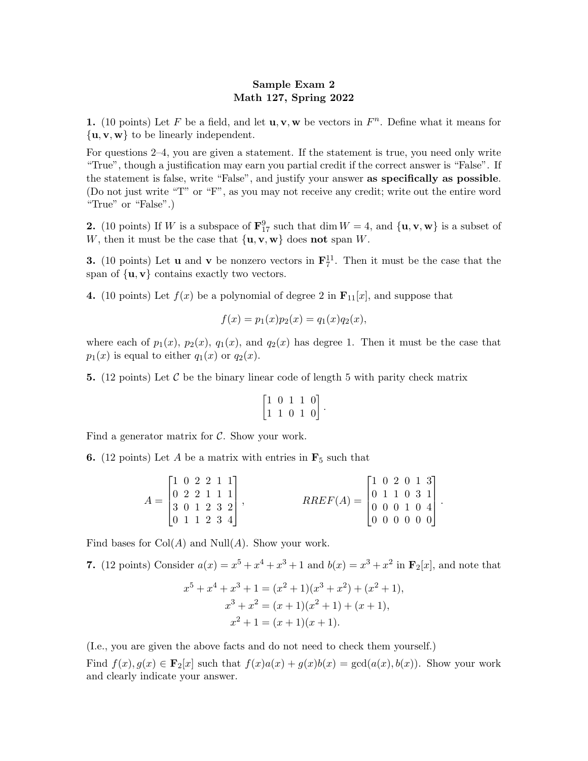## Sample Exam 2 Math 127, Spring 2022

1. (10 points) Let F be a field, and let  $\mathbf{u}, \mathbf{v}, \mathbf{w}$  be vectors in  $F<sup>n</sup>$ . Define what it means for  $\{u, v, w\}$  to be linearly independent.

For questions 2–4, you are given a statement. If the statement is true, you need only write "True", though a justification may earn you partial credit if the correct answer is "False". If the statement is false, write "False", and justify your answer as specifically as possible. (Do not just write "T" or "F", as you may not receive any credit; write out the entire word "True" or "False".)

**2.** (10 points) If W is a subspace of  $\mathbf{F}_{17}^9$  such that dim  $W = 4$ , and  $\{\mathbf{u}, \mathbf{v}, \mathbf{w}\}\)$  is a subset of W, then it must be the case that  $\{u, v, w\}$  does not span W.

**3.** (10 points) Let **u** and **v** be nonzero vectors in  $\mathbf{F}_7^{11}$ . Then it must be the case that the span of  $\{u, v\}$  contains exactly two vectors.

4. (10 points) Let  $f(x)$  be a polynomial of degree 2 in  $\mathbf{F}_{11}[x]$ , and suppose that

$$
f(x) = p_1(x)p_2(x) = q_1(x)q_2(x),
$$

where each of  $p_1(x)$ ,  $p_2(x)$ ,  $q_1(x)$ , and  $q_2(x)$  has degree 1. Then it must be the case that  $p_1(x)$  is equal to either  $q_1(x)$  or  $q_2(x)$ .

5. (12 points) Let  $\mathcal C$  be the binary linear code of length 5 with parity check matrix

$$
\begin{bmatrix} 1 & 0 & 1 & 1 & 0 \\ 1 & 1 & 0 & 1 & 0 \end{bmatrix}.
$$

Find a generator matrix for  $\mathcal{C}$ . Show your work.

**6.** (12 points) Let A be a matrix with entries in  $\mathbf{F}_5$  such that

| $\begin{bmatrix} 1 & 0 & 2 & 2 & 1 & 1 \end{bmatrix}$<br>$A = \begin{bmatrix} 0 & 2 & 2 & 1 & 1 & 1 \\ 3 & 0 & 1 & 2 & 3 & 2 \end{bmatrix},$ | $RREF(A)=\begin{bmatrix} 0 & 1 & 1 & 0 & 3 & 1 \\ 0 & 0 & 0 & 1 & 0 & 4 \end{bmatrix}$ | $\begin{bmatrix} 1 & 0 & 2 & 0 & 1 & 3 \end{bmatrix}$ |  |  |
|----------------------------------------------------------------------------------------------------------------------------------------------|----------------------------------------------------------------------------------------|-------------------------------------------------------|--|--|
| $\begin{bmatrix} 0 & 1 & 1 & 2 & 3 & 4 \end{bmatrix}$                                                                                        |                                                                                        | [0 0 0 0 0 0]                                         |  |  |

.

Find bases for  $Col(A)$  and  $Null(A)$ . Show your work.

7. (12 points) Consider  $a(x) = x^5 + x^4 + x^3 + 1$  and  $b(x) = x^3 + x^2$  in  $\mathbf{F}_2[x]$ , and note that

$$
x^{5} + x^{4} + x^{3} + 1 = (x^{2} + 1)(x^{3} + x^{2}) + (x^{2} + 1),
$$
  
\n
$$
x^{3} + x^{2} = (x + 1)(x^{2} + 1) + (x + 1),
$$
  
\n
$$
x^{2} + 1 = (x + 1)(x + 1).
$$

(I.e., you are given the above facts and do not need to check them yourself.)

Find  $f(x), g(x) \in \mathbf{F}_2[x]$  such that  $f(x)a(x) + g(x)b(x) = \text{gcd}(a(x), b(x))$ . Show your work and clearly indicate your answer.